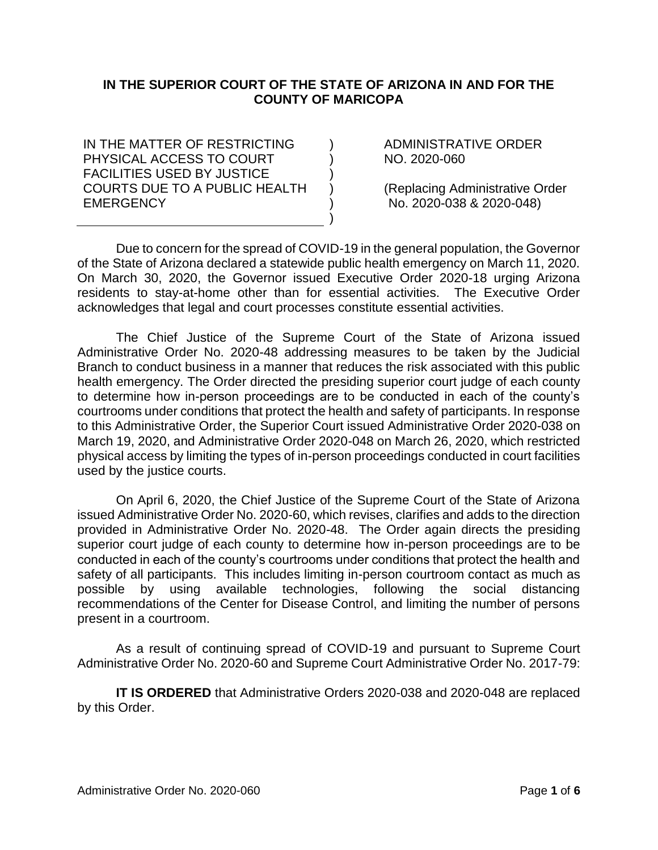## **IN THE SUPERIOR COURT OF THE STATE OF ARIZONA IN AND FOR THE COUNTY OF MARICOPA**

 $\lambda$ ) ) ) ) )

IN THE MATTER OF RESTRICTING PHYSICAL ACCESS TO COURT FACILITIES USED BY JUSTICE COURTS DUE TO A PUBLIC HEALTH **FMFRGFNCY** 

ADMINISTRATIVE ORDER NO. 2020-060

(Replacing Administrative Order No. 2020-038 & 2020-048)

Due to concern for the spread of COVID-19 in the general population, the Governor of the State of Arizona declared a statewide public health emergency on March 11, 2020. On March 30, 2020, the Governor issued Executive Order 2020-18 urging Arizona residents to stay-at-home other than for essential activities. The Executive Order acknowledges that legal and court processes constitute essential activities.

The Chief Justice of the Supreme Court of the State of Arizona issued Administrative Order No. 2020-48 addressing measures to be taken by the Judicial Branch to conduct business in a manner that reduces the risk associated with this public health emergency. The Order directed the presiding superior court judge of each county to determine how in-person proceedings are to be conducted in each of the county's courtrooms under conditions that protect the health and safety of participants. In response to this Administrative Order, the Superior Court issued Administrative Order 2020-038 on March 19, 2020, and Administrative Order 2020-048 on March 26, 2020, which restricted physical access by limiting the types of in-person proceedings conducted in court facilities used by the justice courts.

On April 6, 2020, the Chief Justice of the Supreme Court of the State of Arizona issued Administrative Order No. 2020-60, which revises, clarifies and adds to the direction provided in Administrative Order No. 2020-48. The Order again directs the presiding superior court judge of each county to determine how in-person proceedings are to be conducted in each of the county's courtrooms under conditions that protect the health and safety of all participants. This includes limiting in-person courtroom contact as much as possible by using available technologies, following the social distancing recommendations of the Center for Disease Control, and limiting the number of persons present in a courtroom.

As a result of continuing spread of COVID-19 and pursuant to Supreme Court Administrative Order No. 2020-60 and Supreme Court Administrative Order No. 2017-79:

**IT IS ORDERED** that Administrative Orders 2020-038 and 2020-048 are replaced by this Order.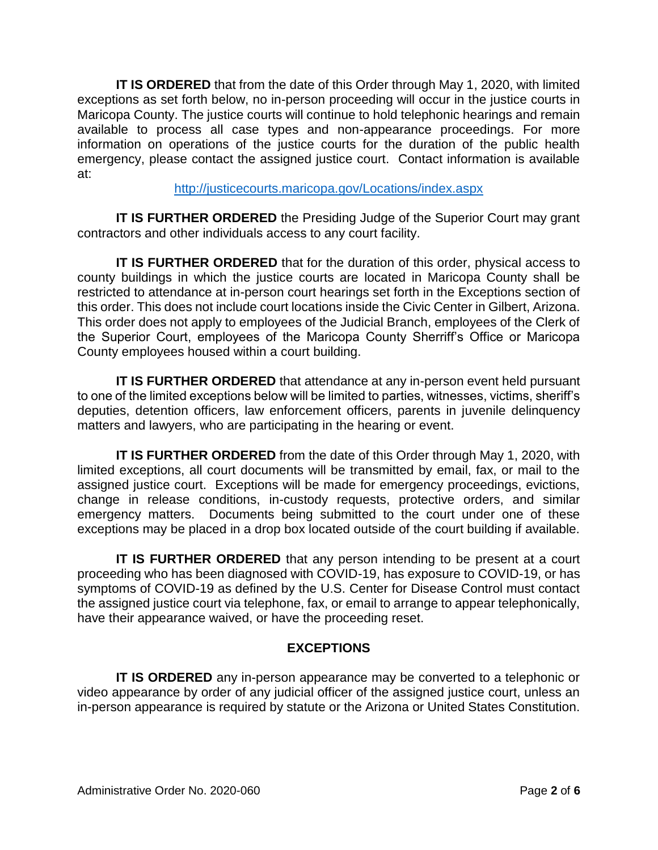**IT IS ORDERED** that from the date of this Order through May 1, 2020, with limited exceptions as set forth below, no in-person proceeding will occur in the justice courts in Maricopa County. The justice courts will continue to hold telephonic hearings and remain available to process all case types and non-appearance proceedings. For more information on operations of the justice courts for the duration of the public health emergency, please contact the assigned justice court. Contact information is available at:

<http://justicecourts.maricopa.gov/Locations/index.aspx>

**IT IS FURTHER ORDERED** the Presiding Judge of the Superior Court may grant contractors and other individuals access to any court facility.

**IT IS FURTHER ORDERED** that for the duration of this order, physical access to county buildings in which the justice courts are located in Maricopa County shall be restricted to attendance at in-person court hearings set forth in the Exceptions section of this order. This does not include court locations inside the Civic Center in Gilbert, Arizona. This order does not apply to employees of the Judicial Branch, employees of the Clerk of the Superior Court, employees of the Maricopa County Sherriff's Office or Maricopa County employees housed within a court building.

**IT IS FURTHER ORDERED** that attendance at any in-person event held pursuant to one of the limited exceptions below will be limited to parties, witnesses, victims, sheriff's deputies, detention officers, law enforcement officers, parents in juvenile delinquency matters and lawyers, who are participating in the hearing or event.

**IT IS FURTHER ORDERED** from the date of this Order through May 1, 2020, with limited exceptions, all court documents will be transmitted by email, fax, or mail to the assigned justice court. Exceptions will be made for emergency proceedings, evictions, change in release conditions, in-custody requests, protective orders, and similar emergency matters. Documents being submitted to the court under one of these exceptions may be placed in a drop box located outside of the court building if available.

**IT IS FURTHER ORDERED** that any person intending to be present at a court proceeding who has been diagnosed with COVID-19, has exposure to COVID-19, or has symptoms of COVID-19 as defined by the U.S. Center for Disease Control must contact the assigned justice court via telephone, fax, or email to arrange to appear telephonically, have their appearance waived, or have the proceeding reset.

# **EXCEPTIONS**

**IT IS ORDERED** any in-person appearance may be converted to a telephonic or video appearance by order of any judicial officer of the assigned justice court, unless an in-person appearance is required by statute or the Arizona or United States Constitution.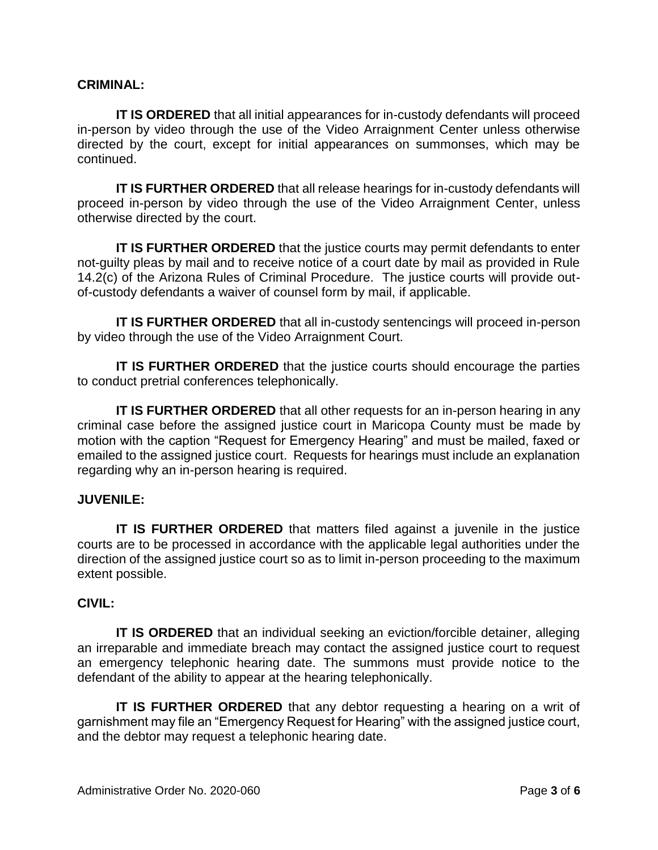#### **CRIMINAL:**

**IT IS ORDERED** that all initial appearances for in-custody defendants will proceed in-person by video through the use of the Video Arraignment Center unless otherwise directed by the court, except for initial appearances on summonses, which may be continued.

**IT IS FURTHER ORDERED** that all release hearings for in-custody defendants will proceed in-person by video through the use of the Video Arraignment Center, unless otherwise directed by the court.

**IT IS FURTHER ORDERED** that the justice courts may permit defendants to enter not-guilty pleas by mail and to receive notice of a court date by mail as provided in Rule 14.2(c) of the Arizona Rules of Criminal Procedure. The justice courts will provide outof-custody defendants a waiver of counsel form by mail, if applicable.

**IT IS FURTHER ORDERED** that all in-custody sentencings will proceed in-person by video through the use of the Video Arraignment Court.

**IT IS FURTHER ORDERED** that the justice courts should encourage the parties to conduct pretrial conferences telephonically.

**IT IS FURTHER ORDERED** that all other requests for an in-person hearing in any criminal case before the assigned justice court in Maricopa County must be made by motion with the caption "Request for Emergency Hearing" and must be mailed, faxed or emailed to the assigned justice court. Requests for hearings must include an explanation regarding why an in-person hearing is required.

#### **JUVENILE:**

**IT IS FURTHER ORDERED** that matters filed against a juvenile in the justice courts are to be processed in accordance with the applicable legal authorities under the direction of the assigned justice court so as to limit in-person proceeding to the maximum extent possible.

#### **CIVIL:**

**IT IS ORDERED** that an individual seeking an eviction/forcible detainer, alleging an irreparable and immediate breach may contact the assigned justice court to request an emergency telephonic hearing date. The summons must provide notice to the defendant of the ability to appear at the hearing telephonically.

**IT IS FURTHER ORDERED** that any debtor requesting a hearing on a writ of garnishment may file an "Emergency Request for Hearing" with the assigned justice court, and the debtor may request a telephonic hearing date.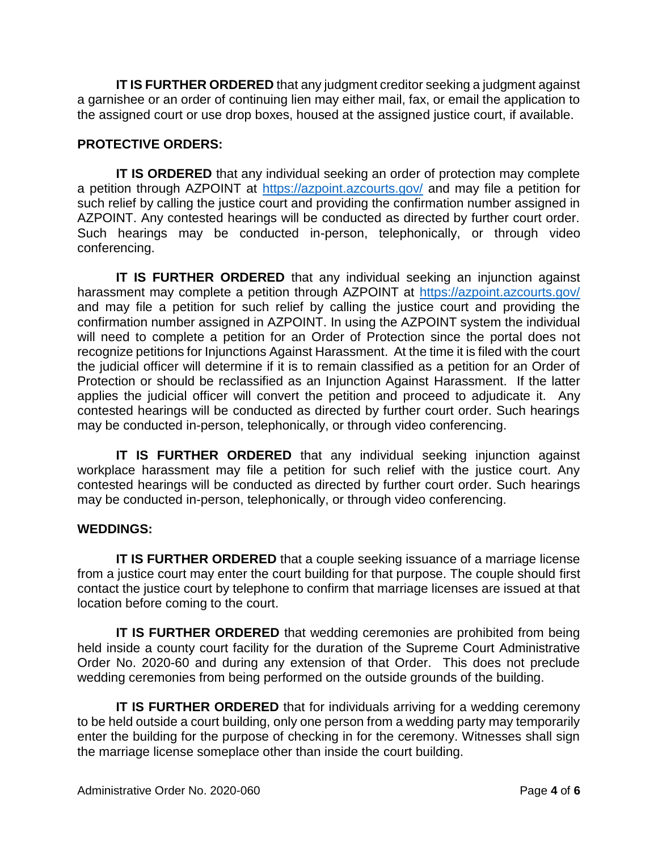**IT IS FURTHER ORDERED** that any judgment creditor seeking a judgment against a garnishee or an order of continuing lien may either mail, fax, or email the application to the assigned court or use drop boxes, housed at the assigned justice court, if available.

# **PROTECTIVE ORDERS:**

**IT IS ORDERED** that any individual seeking an order of protection may complete a petition through AZPOINT at<https://azpoint.azcourts.gov/> and may file a petition for such relief by calling the justice court and providing the confirmation number assigned in AZPOINT. Any contested hearings will be conducted as directed by further court order. Such hearings may be conducted in-person, telephonically, or through video conferencing.

**IT IS FURTHER ORDERED** that any individual seeking an injunction against harassment may complete a petition through AZPOINT at<https://azpoint.azcourts.gov/> and may file a petition for such relief by calling the justice court and providing the confirmation number assigned in AZPOINT. In using the AZPOINT system the individual will need to complete a petition for an Order of Protection since the portal does not recognize petitions for Injunctions Against Harassment. At the time it is filed with the court the judicial officer will determine if it is to remain classified as a petition for an Order of Protection or should be reclassified as an Injunction Against Harassment. If the latter applies the judicial officer will convert the petition and proceed to adjudicate it. Any contested hearings will be conducted as directed by further court order. Such hearings may be conducted in-person, telephonically, or through video conferencing.

**IT IS FURTHER ORDERED** that any individual seeking injunction against workplace harassment may file a petition for such relief with the justice court. Any contested hearings will be conducted as directed by further court order. Such hearings may be conducted in-person, telephonically, or through video conferencing.

## **WEDDINGS:**

**IT IS FURTHER ORDERED** that a couple seeking issuance of a marriage license from a justice court may enter the court building for that purpose. The couple should first contact the justice court by telephone to confirm that marriage licenses are issued at that location before coming to the court.

**IT IS FURTHER ORDERED** that wedding ceremonies are prohibited from being held inside a county court facility for the duration of the Supreme Court Administrative Order No. 2020-60 and during any extension of that Order. This does not preclude wedding ceremonies from being performed on the outside grounds of the building.

**IT IS FURTHER ORDERED** that for individuals arriving for a wedding ceremony to be held outside a court building, only one person from a wedding party may temporarily enter the building for the purpose of checking in for the ceremony. Witnesses shall sign the marriage license someplace other than inside the court building.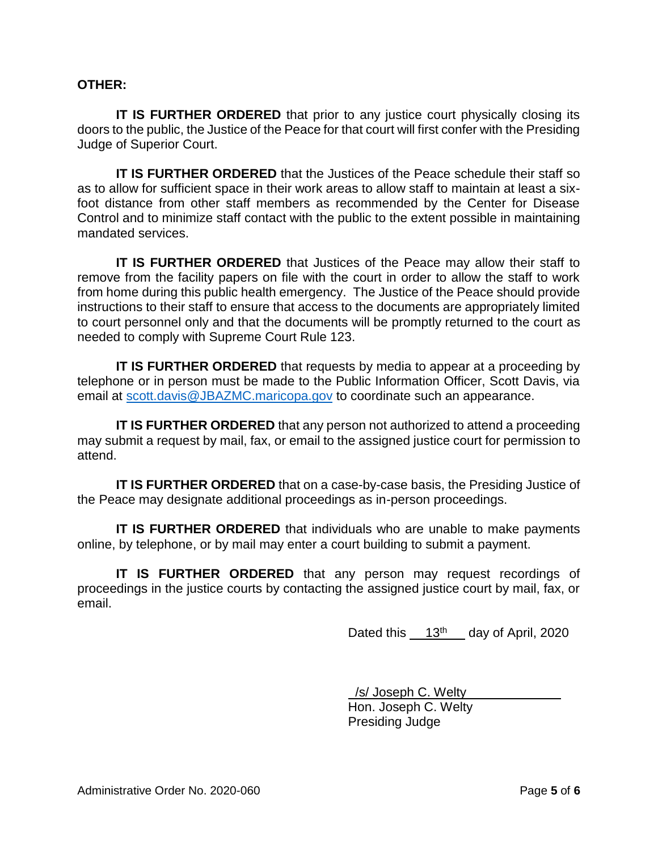#### **OTHER:**

**IT IS FURTHER ORDERED** that prior to any justice court physically closing its doors to the public, the Justice of the Peace for that court will first confer with the Presiding Judge of Superior Court.

**IT IS FURTHER ORDERED** that the Justices of the Peace schedule their staff so as to allow for sufficient space in their work areas to allow staff to maintain at least a sixfoot distance from other staff members as recommended by the Center for Disease Control and to minimize staff contact with the public to the extent possible in maintaining mandated services.

**IT IS FURTHER ORDERED** that Justices of the Peace may allow their staff to remove from the facility papers on file with the court in order to allow the staff to work from home during this public health emergency. The Justice of the Peace should provide instructions to their staff to ensure that access to the documents are appropriately limited to court personnel only and that the documents will be promptly returned to the court as needed to comply with Supreme Court Rule 123.

**IT IS FURTHER ORDERED** that requests by media to appear at a proceeding by telephone or in person must be made to the Public Information Officer, Scott Davis, via email at [scott.davis@JBAZMC.maricopa.gov](mailto:scott.davis@JBAZMC.maricopa.gov) to coordinate such an appearance.

**IT IS FURTHER ORDERED** that any person not authorized to attend a proceeding may submit a request by mail, fax, or email to the assigned justice court for permission to attend.

**IT IS FURTHER ORDERED** that on a case-by-case basis, the Presiding Justice of the Peace may designate additional proceedings as in-person proceedings.

**IT IS FURTHER ORDERED** that individuals who are unable to make payments online, by telephone, or by mail may enter a court building to submit a payment.

**IT IS FURTHER ORDERED** that any person may request recordings of proceedings in the justice courts by contacting the assigned justice court by mail, fax, or email.

Dated this  $13<sup>th</sup>$  day of April, 2020

 /s/ Joseph C. Welty Hon. Joseph C. Welty Presiding Judge